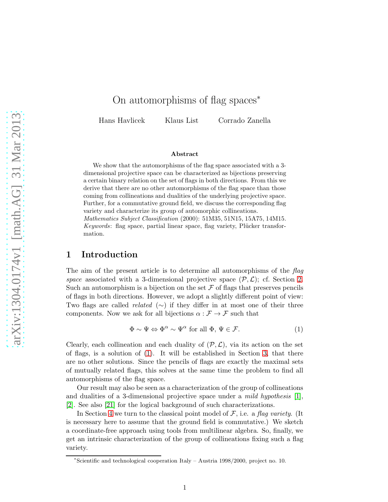# On automorphisms of flag spaces<sup>∗</sup>

Hans Havlicek Klaus List Corrado Zanella

#### Abstract

We show that the automorphisms of the flag space associated with a 3dimensional projective space can be characterized as bijections preserving a certain binary relation on the set of flags in both directions. From this we derive that there are no other automorphisms of the flag space than those coming from collineations and dualities of the underlying projective space. Further, for a commutative ground field, we discuss the corresponding flag variety and characterize its group of automorphic collineations.

Mathematics Subject Classification (2000): 51M35, 51N15, 15A75, 14M15. Keywords: flag space, partial linear space, flag variety, Plücker transformation.

# 1 Introduction

The aim of the present article is to determine all automorphisms of the flag space associated with a 3-dimensional projective space  $(\mathcal{P}, \mathcal{L})$ ; cf. Section [2.](#page-1-0) Such an automorphism is a bijection on the set  $\mathcal F$  of flags that preserves pencils of flags in both directions. However, we adopt a slightly different point of view: Two flags are called *related* ( $\sim$ ) if they differ in at most one of their three components. Now we ask for all bijections  $\alpha : \mathcal{F} \to \mathcal{F}$  such that

<span id="page-0-0"></span>
$$
\Phi \sim \Psi \Leftrightarrow \Phi^{\alpha} \sim \Psi^{\alpha} \text{ for all } \Phi, \Psi \in \mathcal{F}.
$$
 (1)

Clearly, each collineation and each duality of  $(\mathcal{P}, \mathcal{L})$ , via its action on the set of flags, is a solution of [\(1\)](#page-0-0). It will be established in Section [3,](#page-3-0) that there are no other solutions. Since the pencils of flags are exactly the maximal sets of mutually related flags, this solves at the same time the problem to find all automorphisms of the flag space.

Our result may also be seen as a characterization of the group of collineations and dualities of a 3-dimensional projective space under a *mild hypothesis* [\[1\]](#page-9-0), [\[2\]](#page-9-1). See also [\[21\]](#page-10-0) for the logical background of such characterizations.

In Section [4](#page-5-0) we turn to the classical point model of  $\mathcal{F}$ , i.e. a flag variety. (It is necessary here to assume that the ground field is commutative.) We sketch a coordinate-free approach using tools from multilinear algebra. So, finally, we get an intrinsic characterization of the group of collineations fixing such a flag variety.

<sup>∗</sup> Scientific and technological cooperation Italy – Austria 1998/2000, project no. 10.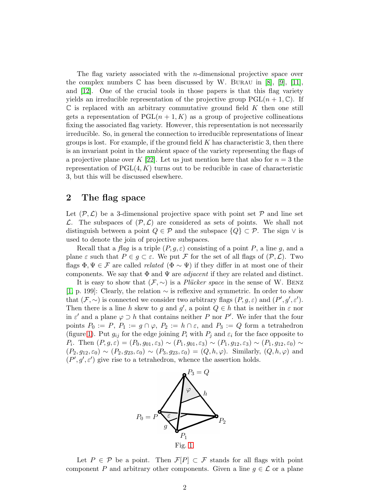The flag variety associated with the  $n$ -dimensional projective space over the complex numbers  $\mathbb C$  has been discussed by W. BURAU in [\[8\]](#page-10-1), [\[9\]](#page-10-2), [\[11\]](#page-10-3), and [\[12\]](#page-10-4). One of the crucial tools in those papers is that this flag variety yields an irreducible representation of the projective group  $PGL(n + 1, \mathbb{C})$ . If  $\mathbb C$  is replaced with an arbitrary commutative ground field K then one still gets a representation of  $PGL(n + 1, K)$  as a group of projective collineations fixing the associated flag variety. However, this representation is not necessarily irreducible. So, in general the connection to irreducible representations of linear groups is lost. For example, if the ground field  $K$  has characteristic 3, then there is an invariant point in the ambient space of the variety representing the flags of a projective plane over K [\[22\]](#page-11-0). Let us just mention here that also for  $n = 3$  the representation of  $PGL(4, K)$  turns out to be reducible in case of characteristic 3, but this will be discussed elsewhere.

### <span id="page-1-0"></span>2 The flag space

Let  $(\mathcal{P}, \mathcal{L})$  be a 3-dimensional projective space with point set  $\mathcal P$  and line set  $\mathcal{L}$ . The subspaces of  $(\mathcal{P}, \mathcal{L})$  are considered as sets of points. We shall not distinguish between a point  $Q \in \mathcal{P}$  and the subspace  $\{Q\} \subset \mathcal{P}$ . The sign  $\vee$  is used to denote the join of projective subspaces.

Recall that a flag is a triple  $(P, g, \varepsilon)$  consisting of a point P, a line g, and a plane  $\varepsilon$  such that  $P \in g \subset \varepsilon$ . We put F for the set of all flags of  $(\mathcal{P}, \mathcal{L})$ . Two flags  $\Phi, \Psi \in \mathcal{F}$  are called *related* ( $\Phi \sim \Psi$ ) if they differ in at most one of their components. We say that  $\Phi$  and  $\Psi$  are *adjacent* if they are related and distinct.

It is easy to show that  $(F, \sim)$  is a *Plücker space* in the sense of W. BENZ [\[1,](#page-9-0) p. 199]: Clearly, the relation ∼ is reflexive and symmetric. In order to show that  $(\mathcal{F}, \sim)$  is connected we consider two arbitrary flags  $(P, g, \varepsilon)$  and  $(P', g', \varepsilon')$ . Then there is a line h skew to g and g', a point  $Q \in h$  that is neither in  $\varepsilon$  nor in  $\varepsilon'$  and a plane  $\varphi \supset h$  that contains neither P nor P'. We infer that the four points  $P_0 := P$ ,  $P_1 := g \cap \varphi$ ,  $P_2 := h \cap \varepsilon$ , and  $P_3 := Q$  form a tetrahedron (figure [1\)](#page-1-1). Put  $g_{ij}$  for the edge joining  $P_i$  with  $P_j$  and  $\varepsilon_i$  for the face opposite to P<sub>i</sub>. Then  $(P, g, \varepsilon) = (P_0, g_{01}, \varepsilon_3) \sim (P_1, g_{01}, \varepsilon_3) \sim (P_1, g_{12}, \varepsilon_3) \sim (P_1, g_{12}, \varepsilon_0) \sim$  $(P_2, g_{12}, \varepsilon_0) \sim (P_2, g_{23}, \varepsilon_0) \sim (P_3, g_{23}, \varepsilon_0) = (Q, h, \varphi)$ . Similarly,  $(Q, h, \varphi)$  and  $(P', g', \varepsilon')$  give rise to a tetrahedron, whence the assertion holds.

<span id="page-1-1"></span>

Let  $P \in \mathcal{P}$  be a point. Then  $\mathcal{F}[P] \subset \mathcal{F}$  stands for all flags with point component P and arbitrary other components. Given a line  $g \in \mathcal{L}$  or a plane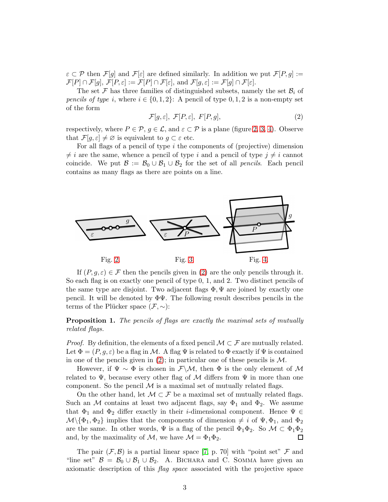$\varepsilon \subset \mathcal{P}$  then  $\mathcal{F}[g]$  and  $\mathcal{F}[\varepsilon]$  are defined similarly. In addition we put  $\mathcal{F}[P,g] :=$  $\mathcal{F}[P] \cap \mathcal{F}[g], \mathcal{F}[P,\varepsilon] := \mathcal{F}[P] \cap \mathcal{F}[\varepsilon],$  and  $\mathcal{F}[g,\varepsilon] := \mathcal{F}[g] \cap \mathcal{F}[\varepsilon].$ 

The set F has three families of distinguished subsets, namely the set  $\mathcal{B}_i$  of pencils of type i, where  $i \in \{0, 1, 2\}$ : A pencil of type 0, 1, 2 is a non-empty set of the form

<span id="page-2-3"></span>
$$
\mathcal{F}[g,\varepsilon],\ \mathcal{F}[P,\varepsilon],\ F[P,g],\tag{2}
$$

respectively, where  $P \in \mathcal{P}$ ,  $g \in \mathcal{L}$ , and  $\varepsilon \subset \mathcal{P}$  is a plane (figure [2,](#page-2-0) [3,](#page-2-1) [4\)](#page-2-2). Observe that  $\mathcal{F}[q,\varepsilon] \neq \emptyset$  is equivalent to  $q \subset \varepsilon$  etc.

For all flags of a pencil of type  $i$  the components of (projective) dimension  $\neq i$  are the same, whence a pencil of type i and a pencil of type  $j \neq i$  cannot coincide. We put  $\mathcal{B} := \mathcal{B}_0 \cup \mathcal{B}_1 \cup \mathcal{B}_2$  for the set of all *pencils*. Each pencil contains as many flags as there are points on a line.



<span id="page-2-2"></span><span id="page-2-1"></span><span id="page-2-0"></span>If  $(P, q, \varepsilon) \in \mathcal{F}$  then the pencils given in [\(2\)](#page-2-3) are the only pencils through it. So each flag is on exactly one pencil of type 0, 1, and 2. Two distinct pencils of the same type are disjoint. Two adjacent flags  $\Phi, \Psi$  are joined by exactly one pencil. It will be denoted by  $\Phi\Psi$ . The following result describes pencils in the terms of the Plücker space  $(\mathcal{F}, \sim)$ :

<span id="page-2-4"></span>**Proposition 1.** The pencils of flags are exactly the maximal sets of mutually related flags.

*Proof.* By definition, the elements of a fixed pencil  $\mathcal{M} \subset \mathcal{F}$  are mutually related. Let  $\Phi = (P, g, \varepsilon)$  be a flag in M. A flag  $\Psi$  is related to  $\Phi$  exactly if  $\Psi$  is contained in one of the pencils given in [\(2\)](#page-2-3); in particular one of these pencils is  $M$ .

However, if  $\Psi \sim \Phi$  is chosen in  $\mathcal{F}\backslash \mathcal{M}$ , then  $\Phi$  is the only element of M related to  $\Psi$ , because every other flag of M differs from  $\Psi$  in more than one component. So the pencil  $M$  is a maximal set of mutually related flags.

On the other hand, let  $\mathcal{M} \subset \mathcal{F}$  be a maximal set of mutually related flags. Such an M contains at least two adjacent flags, say  $\Phi_1$  and  $\Phi_2$ . We assume that  $\Phi_1$  and  $\Phi_2$  differ exactly in their *i*-dimensional component. Hence  $\Psi \in$  $\mathcal{M}\setminus{\lbrace \Phi_1,\Phi_2 \rbrace}$  implies that the components of dimension  $\neq i$  of  $\Psi, \Phi_1$ , and  $\Phi_2$ are the same. In other words,  $\Psi$  is a flag of the pencil  $\Phi_1\Phi_2$ . So  $\mathcal{M} \subset \Phi_1\Phi_2$ and, by the maximality of  $\mathcal{M}$ , we have  $\mathcal{M} = \Phi_1 \Phi_2$ .  $\Box$ 

The pair  $(\mathcal{F}, \mathcal{B})$  is a partial linear space [\[7,](#page-10-5) p. 70] with "point set"  $\mathcal{F}$  and "line set"  $\mathcal{B} = \mathcal{B}_0 \cup \mathcal{B}_1 \cup \mathcal{B}_2$ . A. BICHARA and C. SOMMA have given an axiomatic description of this flag space associated with the projective space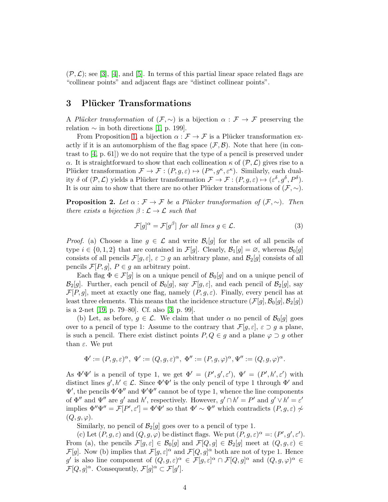$(\mathcal{P}, \mathcal{L})$ ; see [\[3\]](#page-9-2), [\[4\]](#page-9-3), and [\[5\]](#page-9-4). In terms of this partial linear space related flags are "collinear points" and adjacent flags are "distinct collinear points".

# <span id="page-3-0"></span>3 Plücker Transformations

A Plücker transformation of  $(\mathcal{F}, \sim)$  is a bijection  $\alpha : \mathcal{F} \to \mathcal{F}$  preserving the relation  $\sim$  in both directions [\[1,](#page-9-0) p. 199].

From Proposition [1,](#page-2-4) a bijection  $\alpha : \mathcal{F} \to \mathcal{F}$  is a Plücker transformation exactly if it is an automorphism of the flag space  $(F, \mathcal{B})$ . Note that here (in contrast to [\[4,](#page-9-3) p. 61]) we do not require that the type of a pencil is preserved under α. It is straightforward to show that each collineation  $\kappa$  of  $(\mathcal{P}, \mathcal{L})$  gives rise to a Plücker transformation  $\mathcal{F} \to \mathcal{F} : (P, g, \varepsilon) \mapsto (P^{\kappa}, g^{\kappa}, \varepsilon^{\kappa})$ . Similarly, each duality  $\delta$  of  $(\mathcal{P}, \mathcal{L})$  yields a Plücker transformation  $\mathcal{F} \to \mathcal{F} : (P, g, \varepsilon) \mapsto (\varepsilon^{\delta}, g^{\delta}, P^{\delta}).$ It is our aim to show that there are no other Plücker transformations of  $(\mathcal{F}, \sim)$ .

<span id="page-3-2"></span>**Proposition 2.** Let  $\alpha : \mathcal{F} \to \mathcal{F}$  be a Plücker transformation of  $(\mathcal{F}, \sim)$ . Then there exists a bijection  $\beta : \mathcal{L} \to \mathcal{L}$  such that

<span id="page-3-1"></span>
$$
\mathcal{F}[g]^\alpha = \mathcal{F}[g^\beta] \text{ for all lines } g \in \mathcal{L}.
$$
 (3)

*Proof.* (a) Choose a line  $g \in \mathcal{L}$  and write  $\mathcal{B}_i[g]$  for the set of all pencils of type  $i \in \{0, 1, 2\}$  that are contained in  $\mathcal{F}[g]$ . Clearly,  $\mathcal{B}_1[g] = \emptyset$ , whereas  $\mathcal{B}_0[g]$ consists of all pencils  $\mathcal{F}[g,\varepsilon], \varepsilon \supset g$  an arbitrary plane, and  $\mathcal{B}_2[g]$  consists of all pencils  $\mathcal{F}[P,g], P \in g$  an arbitrary point.

Each flag  $\Phi \in \mathcal{F}[g]$  is on a unique pencil of  $\mathcal{B}_0[g]$  and on a unique pencil of  $\mathcal{B}_2[g]$ . Further, each pencil of  $\mathcal{B}_0[g]$ , say  $\mathcal{F}[g,\varepsilon]$ , and each pencil of  $\mathcal{B}_2[g]$ , say  $\mathcal{F}[P,g]$ , meet at exactly one flag, namely  $(P,g,\varepsilon)$ . Finally, every pencil has at least three elements. This means that the incidence structure  $(\mathcal{F}[g], \mathcal{B}_0[g], \mathcal{B}_2[g])$ is a 2-net [\[19,](#page-10-6) p. 79–80]. Cf. also [\[3,](#page-9-2) p. 99].

(b) Let, as before,  $g \in \mathcal{L}$ . We claim that under  $\alpha$  no pencil of  $\mathcal{B}_0[g]$  goes over to a pencil of type 1: Assume to the contrary that  $\mathcal{F}[g,\varepsilon], \varepsilon \supset g$  a plane, is such a pencil. There exist distinct points  $P, Q \in g$  and a plane  $\varphi \supset g$  other than  $\varepsilon$ . We put

$$
\Phi':=(P,g,\varepsilon)^{\alpha},\ \Psi':=(Q,g,\varepsilon)^{\alpha},\ \Phi'':=(P,g,\varphi)^{\alpha},\Psi'':=(Q,g,\varphi)^{\alpha}.
$$

As  $\Phi'\Psi'$  is a pencil of type 1, we get  $\Phi' = (P', g', \varepsilon')$ ,  $\Psi' = (P', h', \varepsilon')$  with distinct lines  $g', h' \in \mathcal{L}$ . Since  $\Phi' \Psi'$  is the only pencil of type 1 through  $\Phi'$  and  $\Psi'$ , the pencils  $\Phi'\Phi''$  and  $\Psi'\Psi''$  cannot be of type 1, whence the line components of  $\Phi''$  and  $\Psi''$  are g' and h', respectively. However,  $g' \cap h' = P'$  and  $g' \vee h' = \varepsilon'$ implies  $\Phi''\Psi'' = \mathcal{F}[P', \varepsilon'] = \Phi'\Psi'$  so that  $\Phi' \sim \Psi''$  which contradicts  $(P, g, \varepsilon) \nsim$  $(Q, g, \varphi).$ 

Similarly, no pencil of  $\mathcal{B}_2[g]$  goes over to a pencil of type 1.

(c) Let  $(P, g, \varepsilon)$  and  $(Q, g, \varphi)$  be distinct flags. We put  $(P, g, \varepsilon)^\alpha = (P', g', \varepsilon')$ . From (a), the pencils  $\mathcal{F}[g,\varepsilon] \in \mathcal{B}_0[g]$  and  $\mathcal{F}[Q,g] \in \mathcal{B}_2[g]$  meet at  $(Q,g,\varepsilon) \in$  $\mathcal{F}[g]$ . Now (b) implies that  $\mathcal{F}[g,\varepsilon]^\alpha$  and  $\mathcal{F}[Q,g]^\alpha$  both are not of type 1. Hence g' is also line component of  $(Q, g, \varepsilon)^\alpha \in \mathcal{F}[g, \varepsilon]^\alpha \cap \mathcal{F}[Q, g]^\alpha$  and  $(Q, g, \varphi)^\alpha \in$  $\mathcal{F}[Q,g]^{\alpha}$ . Consequently,  $\mathcal{F}[g]^{\alpha} \subset \mathcal{F}[g']$ .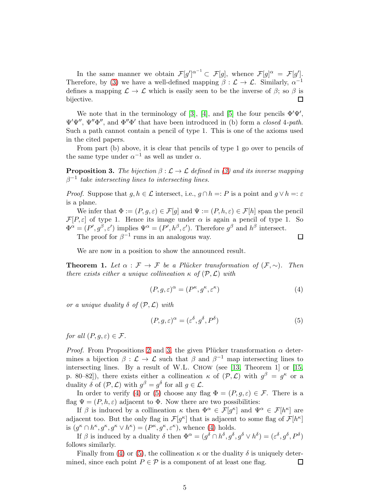In the same manner we obtain  $\mathcal{F}[g']^{\alpha^{-1}} \subset \mathcal{F}[g]$ , whence  $\mathcal{F}[g]^{\alpha} = \mathcal{F}[g']$ . Therefore, by [\(3\)](#page-3-1) we have a well-defined mapping  $\beta : \mathcal{L} \to \mathcal{L}$ . Similarly,  $\alpha^{-1}$ defines a mapping  $\mathcal{L} \to \mathcal{L}$  which is easily seen to be the inverse of  $\beta$ ; so  $\beta$  is bijective.  $\Box$ 

We note that in the terminology of [\[3\]](#page-9-2), [\[4\]](#page-9-3), and [\[5\]](#page-9-4) the four pencils  $\Phi'\Psi'$ ,  $\Psi'\Psi''$ ,  $\Psi''\Phi''$ , and  $\Phi''\Phi'$  that have been introduced in (b) form a *closed* 4-path. Such a path cannot contain a pencil of type 1. This is one of the axioms used in the cited papers.

From part (b) above, it is clear that pencils of type 1 go over to pencils of the same type under  $\alpha^{-1}$  as well as under  $\alpha$ .

<span id="page-4-0"></span>**Proposition 3.** The bijection  $\beta : \mathcal{L} \to \mathcal{L}$  defined in [\(3\)](#page-3-1) and its inverse mapping  $\beta^{-1}$  take intersecting lines to intersecting lines.

*Proof.* Suppose that  $q, h \in \mathcal{L}$  intersect, i.e.,  $q \cap h =: P$  is a point and  $q \vee h =: \varepsilon$ is a plane.

We infer that  $\Phi := (P, g, \varepsilon) \in \mathcal{F}[g]$  and  $\Psi := (P, h, \varepsilon) \in \mathcal{F}[h]$  span the pencil  $\mathcal{F}[P,\varepsilon]$  of type 1. Hence its image under  $\alpha$  is again a pencil of type 1. So  $\Phi^{\alpha} = (P', g^{\beta}, \varepsilon')$  implies  $\Psi^{\alpha} = (P', h^{\beta}, \varepsilon')$ . Therefore  $g^{\beta}$  and  $h^{\beta}$  intersect. The proof for  $\beta^{-1}$  runs in an analogous way.  $\Box$ 

We are now in a position to show the announced result.

<span id="page-4-3"></span>**Theorem 1.** Let  $\alpha : \mathcal{F} \to \mathcal{F}$  be a Plücker transformation of  $(\mathcal{F}, \sim)$ . Then there exists either a unique collineation  $\kappa$  of  $(\mathcal{P}, \mathcal{L})$  with

<span id="page-4-1"></span>
$$
(P, g, \varepsilon)^{\alpha} = (P^{\kappa}, g^{\kappa}, \varepsilon^{\kappa})
$$
\n<sup>(4)</sup>

or a unique duality  $\delta$  of  $(\mathcal{P}, \mathcal{L})$  with

<span id="page-4-2"></span>
$$
(P, g, \varepsilon)^{\alpha} = (\varepsilon^{\delta}, g^{\delta}, P^{\delta})
$$
\n<sup>(5)</sup>

for all  $(P, q, \varepsilon) \in \mathcal{F}$ .

*Proof.* From Propositions [2](#page-3-2) and [3,](#page-4-0) the given Plücker transformation  $\alpha$  determines a bijection  $\beta : \mathcal{L} \to \mathcal{L}$  such that  $\beta$  and  $\beta^{-1}$  map intersecting lines to intersecting lines. By a result of W.L. Chow (see [\[13,](#page-10-7) Theorem 1] or [\[15,](#page-10-8) p. 80–82]), there exists either a collineation  $\kappa$  of  $(\mathcal{P}, \mathcal{L})$  with  $g^{\beta} = g^{\kappa}$  or a duality  $\delta$  of  $(\mathcal{P}, \mathcal{L})$  with  $g^{\beta} = g^{\delta}$  for all  $g \in \mathcal{L}$ .

In order to verify [\(4\)](#page-4-1) or [\(5\)](#page-4-2) choose any flag  $\Phi = (P, g, \varepsilon) \in \mathcal{F}$ . There is a flag  $\Psi = (P, h, \varepsilon)$  adjacent to  $\Phi$ . Now there are two possibilities:

If  $\beta$  is induced by a collineation  $\kappa$  then  $\Phi^{\alpha} \in \mathcal{F}[g^{\kappa}]$  and  $\Psi^{\alpha} \in \mathcal{F}[h^{\kappa}]$  are adjacent too. But the only flag in  $\mathcal{F}[g^{\kappa}]$  that is adjacent to some flag of  $\mathcal{F}[h^{\kappa}]$ is  $(g^{\kappa} \cap h^{\kappa}, g^{\kappa}, g^{\kappa} \vee h^{\kappa}) = (P^{\kappa}, g^{\kappa}, \varepsilon^{\kappa})$ , whence [\(4\)](#page-4-1) holds.

If  $\beta$  is induced by a duality  $\delta$  then  $\Phi^{\alpha} = (g^{\delta} \cap h^{\delta}, g^{\delta}, g^{\delta} \vee h^{\delta}) = (\varepsilon^{\delta}, g^{\delta}, P^{\delta})$ follows similarly.

Finally from [\(4\)](#page-4-1) or [\(5\)](#page-4-2), the collineation  $\kappa$  or the duality  $\delta$  is uniquely determined, since each point  $P \in \mathcal{P}$  is a component of at least one flag.  $\Box$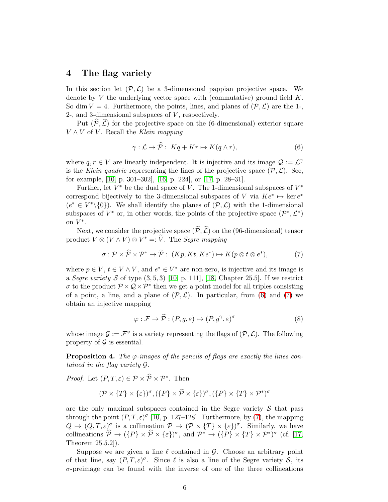### <span id="page-5-0"></span>4 The flag variety

In this section let  $(\mathcal{P}, \mathcal{L})$  be a 3-dimensional pappian projective space. We denote by  $V$  the underlying vector space with (commutative) ground field  $K$ . So dim  $V = 4$ . Furthermore, the points, lines, and planes of  $(\mathcal{P}, \mathcal{L})$  are the 1-2-, and 3-dimensional subspaces of  $V$ , respectively.

Put  $(\widehat{\mathcal{P}},\widehat{\mathcal{L}})$  for the projective space on the (6-dimensional) exterior square  $V \wedge V$  of V. Recall the Klein mapping

<span id="page-5-1"></span>
$$
\gamma: \mathcal{L} \to \widehat{\mathcal{P}}: Kq + Kr \mapsto K(q \wedge r), \tag{6}
$$

where  $q, r \in V$  are linearly independent. It is injective and its image  $\mathcal{Q} := \mathcal{L}^{\gamma}$ is the Klein quadric representing the lines of the projective space  $(\mathcal{P}, \mathcal{L})$ . See, for example, [\[10,](#page-10-9) p. 301–302], [\[16,](#page-10-10) p. 224], or [\[17,](#page-10-11) p. 28–31].

Further, let  $V^*$  be the dual space of V. The 1-dimensional subspaces of  $V^*$ correspond bijectively to the 3-dimensional subspaces of V via  $K \e^* \mapsto \ker e^*$  $(e^* \in V^*\backslash\{0\})$ . We shall identify the planes of  $(\mathcal{P}, \mathcal{L})$  with the 1-dimensional subspaces of  $V^*$  or, in other words, the points of the projective space  $(\mathcal{P}^*, \mathcal{L}^*)$ on  $\hat{V^*}$ .

Next, we consider the projective space  $(\widetilde{\mathcal{P}}, \widetilde{\mathcal{L}})$  on the (96-dimensional) tensor product  $V \otimes (V \wedge V) \otimes V^* =: \widetilde{V}$ . The *Segre mapping* 

<span id="page-5-2"></span>
$$
\sigma: \mathcal{P} \times \widehat{\mathcal{P}} \times \mathcal{P}^* \to \widetilde{\mathcal{P}}: (Kp, Kt, Ke^*) \mapsto K(p \otimes t \otimes e^*), \tag{7}
$$

where  $p \in V$ ,  $t \in V \wedge V$ , and  $e^* \in V^*$  are non-zero, is injective and its image is a Segre variety S of type  $(3,5,3)$  [\[10,](#page-10-9) p. 111], [\[18,](#page-10-12) Chapter 25.5]. If we restrict  $\sigma$  to the product  $\mathcal{P} \times \mathcal{Q} \times \mathcal{P}^*$  then we get a point model for all triples consisting of a point, a line, and a plane of  $(\mathcal{P}, \mathcal{L})$ . In particular, from [\(6\)](#page-5-1) and [\(7\)](#page-5-2) we obtain an injective mapping

$$
\varphi : \mathcal{F} \to \widetilde{\mathcal{P}} : (P, g, \varepsilon) \mapsto (P, g^{\gamma}, \varepsilon)^{\sigma}
$$
 (8)

whose image  $\mathcal{G} := \mathcal{F}^{\varphi}$  is a variety representing the flags of  $(\mathcal{P}, \mathcal{L})$ . The following property of  $\mathcal G$  is essential.

<span id="page-5-3"></span>**Proposition 4.** The  $\varphi$ -images of the pencils of flags are exactly the lines contained in the flag variety G.

*Proof.* Let  $(P, T, \varepsilon) \in \mathcal{P} \times \widehat{\mathcal{P}} \times \mathcal{P}^*$ . Then

$$
(\mathcal{P} \times \{T\} \times \{\varepsilon\})^{\sigma}, (\{P\} \times \widehat{\mathcal{P}} \times \{\varepsilon\})^{\sigma}, (\{P\} \times \{T\} \times \mathcal{P}^*)^{\sigma}
$$

are the only maximal subspaces contained in the Segre variety  $S$  that pass through the point  $(P, T, \varepsilon)^\sigma$  [\[10,](#page-10-9) p. 127–128]. Furthermore, by [\(7\)](#page-5-2), the mapping  $Q \mapsto (Q, T, \varepsilon)^{\sigma}$  is a collineation  $\mathcal{P} \to (\mathcal{P} \times \{T\} \times \{\varepsilon\})^{\sigma}$ . Similarly, we have collineations  $\hat{\mathcal{P}} \to (\{P\} \times \hat{\mathcal{P}} \times \{\varepsilon\})^{\sigma}$ , and  $\mathcal{P}^* \to (\{P\} \times \{T\} \times \mathcal{P}^*)^{\sigma}$  (cf. [\[17,](#page-10-11) Theorem 25.5.2]).

Suppose we are given a line  $\ell$  contained in  $\mathcal{G}$ . Choose an arbitrary point of that line, say  $(P, T, \varepsilon)^{\sigma}$ . Since  $\ell$  is also a line of the Segre variety  $S$ , its  $\sigma$ -preimage can be found with the inverse of one of the three collineations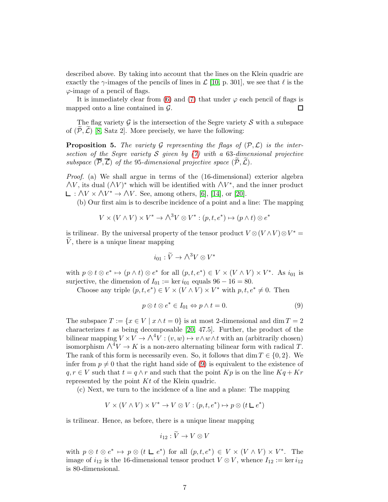described above. By taking into account that the lines on the Klein quadric are exactly the  $\gamma$ -images of the pencils of lines in  $\mathcal{L}$  [\[10,](#page-10-9) p. 301], we see that  $\ell$  is the  $\varphi$ -image of a pencil of flags.

It is immediately clear from [\(6\)](#page-5-1) and [\(7\)](#page-5-2) that under  $\varphi$  each pencil of flags is mapped onto a line contained in  $\mathcal{G}$ . 口

The flag variety  $\mathcal G$  is the intersection of the Segre variety  $\mathcal S$  with a subspace of  $(\mathcal{P}, \mathcal{L})$  [\[8,](#page-10-1) Satz 2]. More precisely, we have the following:

**Proposition 5.** The variety G representing the flags of  $(\mathcal{P}, \mathcal{L})$  is the intersection of the Segre variety S given by  $(7)$  with a 63-dimensional projective subspace  $(\overline{P}, \overline{L})$  of the 95-dimensional projective space  $(\overline{P}, \overline{L})$ .

Proof. (a) We shall argue in terms of the (16-dimensional) exterior algebra  $\wedge V$ , its dual  $(\wedge V)^*$  which will be identified with  $\wedge V^*$ , and the inner product :  $\triangle V \times \triangle V^*$  →  $\triangle V$ . See, among others, [\[6\]](#page-9-5), [\[14\]](#page-10-13), or [\[20\]](#page-10-14).

(b) Our first aim is to describe incidence of a point and a line: The mapping

$$
V \times (V \wedge V) \times V^* \to \wedge^3 V \otimes V^* : (p, t, e^*) \mapsto (p \wedge t) \otimes e^*
$$

is trilinear. By the universal property of the tensor product  $V \otimes (V \wedge V) \otimes V^* =$  $\tilde{V}$ , there is a unique linear mapping

$$
i_{01} : \widetilde{V} \to \bigwedge^3 V \otimes V^*
$$

with  $p \otimes t \otimes e^* \mapsto (p \wedge t) \otimes e^*$  for all  $(p, t, e^*) \in V \times (V \wedge V) \times V^*$ . As  $i_{01}$  is surjective, the dimension of  $I_{01} := \ker i_{01}$  equals  $96 - 16 = 80$ .

Choose any triple  $(p, t, e^*) \in V \times (V \wedge V) \times V^*$  with  $p, t, e^* \neq 0$ . Then

<span id="page-6-0"></span>
$$
p \otimes t \otimes e^* \in I_{01} \Leftrightarrow p \wedge t = 0. \tag{9}
$$

The subspace  $T := \{x \in V \mid x \wedge t = 0\}$  is at most 2-dimensional and dim  $T = 2$ characterizes t as being decomposable  $[20, 47.5]$ . Further, the product of the bilinear mapping  $V \times V \to \wedge^4 V : (v, w) \mapsto v \wedge w \wedge t$  with an (arbitrarily chosen) isomorphism  $\wedge^4 V \to K$  is a non-zero alternating bilinear form with radical T. The rank of this form is necessarily even. So, it follows that dim  $T \in \{0, 2\}$ . We infer from  $p \neq 0$  that the right hand side of [\(9\)](#page-6-0) is equivalent to the existence of  $q, r \in V$  such that  $t = q \wedge r$  and such that the point  $Kp$  is on the line  $Kq + Kr$ represented by the point  $Kt$  of the Klein quadric.

(c) Next, we turn to the incidence of a line and a plane: The mapping

 $V \times (V \wedge V) \times V^* \to V \otimes V : (p, t, e^*) \mapsto p \otimes (t \sqcup e^*)$ 

is trilinear. Hence, as before, there is a unique linear mapping

$$
i_{12} : \widetilde{V} \to V \otimes V
$$

with  $p \otimes t \otimes e^* \mapsto p \otimes (t \sqcup e^*)$  for all  $(p, t, e^*) \in V \times (V \wedge V) \times V^*$ . The image of  $i_{12}$  is the 16-dimensional tensor product  $V \otimes V$ , whence  $I_{12} := \ker i_{12}$ is 80-dimensional.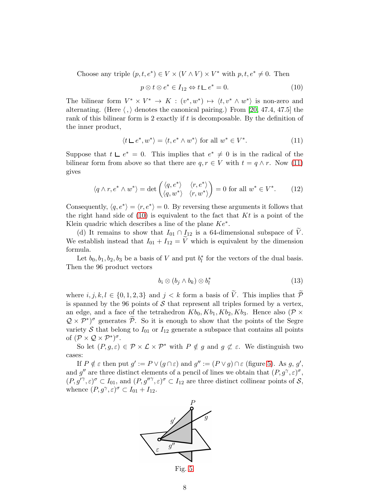Choose any triple  $(p, t, e^*) \in V \times (V \wedge V) \times V^*$  with  $p, t, e^* \neq 0$ . Then

<span id="page-7-1"></span>
$$
p \otimes t \otimes e^* \in I_{12} \Leftrightarrow t \sqcup e^* = 0. \tag{10}
$$

The bilinear form  $V^* \times V^* \to K : (v^*, w^*) \mapsto \langle t, v^* \wedge w^* \rangle$  is non-zero and alternating. (Here  $\langle , \rangle$  denotes the canonical pairing.) From [\[20,](#page-10-14) 47.4, 47.5] the rank of this bilinear form is 2 exactly if  $t$  is decomposable. By the definition of the inner product,

<span id="page-7-0"></span>
$$
\langle t \mathrel{\mathop{\sqcup} e^*}, w^* \rangle = \langle t, e^* \wedge w^* \rangle \text{ for all } w^* \in V^*.
$$
 (11)

Suppose that  $t \perp e^* = 0$ . This implies that  $e^* \neq 0$  is in the radical of the bilinear form from above so that there are  $q, r \in V$  with  $t = q \wedge r$ . Now [\(11\)](#page-7-0) gives

$$
\langle q \wedge r, e^* \wedge w^* \rangle = \det \begin{pmatrix} \langle q, e^* \rangle & \langle r, e^* \rangle \\ \langle q, w^* \rangle & \langle r, w^* \rangle \end{pmatrix} = 0 \text{ for all } w^* \in V^*.
$$
 (12)

Consequently,  $\langle q, e^* \rangle = \langle r, e^* \rangle = 0$ . By reversing these arguments it follows that the right hand side of  $(10)$  is equivalent to the fact that Kt is a point of the Klein quadric which describes a line of the plane  $Ke^*$ .

(d) It remains to show that  $I_{01} \cap I_{12}$  is a 64-dimensional subspace of  $\tilde{V}$ . We establish instead that  $I_{01} + I_{12} = \tilde{V}$  which is equivalent by the dimension formula.

Let  $b_0, b_1, b_2, b_3$  be a basis of V and put  $b_l^*$  $\frac{1}{l}$  for the vectors of the dual basis. Then the 96 product vectors

<span id="page-7-3"></span>
$$
b_i \otimes (b_j \wedge b_k) \otimes b_l^* \tag{13}
$$

where  $i, j, k, l \in \{0, 1, 2, 3\}$  and  $j < k$  form a basis of  $\widetilde{V}$ . This implies that  $\widetilde{\mathcal{P}}$ is spanned by the 96 points of  $S$  that represent all triples formed by a vertex, an edge, and a face of the tetrahedron  $Kb_0, Kb_1, Kb_2, Kb_3$ . Hence also  $(\mathcal{P} \times$  $Q \times \mathcal{P}^*$  generates  $\widetilde{\mathcal{P}}$ . So it is enough to show that the points of the Segre variety  $S$  that belong to  $I_{01}$  or  $I_{12}$  generate a subspace that contains all points of  $(\mathcal{P} \times \mathcal{Q} \times \mathcal{P}^*)^{\sigma}$ .

So let  $(P, g, \varepsilon) \in \mathcal{P} \times \mathcal{L} \times \mathcal{P}^*$  with  $P \notin g$  and  $g \not\subset \varepsilon$ . We distinguish two cases:

If  $P \notin \varepsilon$  then put  $g' := P \vee (g \cap \varepsilon)$  and  $g'' := (P \vee g) \cap \varepsilon$  (figure [5\)](#page-7-2). As g, g', and g'' are three distinct elements of a pencil of lines we obtain that  $(P, g^{\gamma}, \varepsilon)^{\sigma}$ ,  $(P, g^{\prime\gamma}, \varepsilon)^{\sigma} \subset I_{01}$ , and  $(P, g^{\prime\prime\gamma}, \varepsilon)^{\sigma} \subset I_{12}$  are three distinct collinear points of S, whence  $(P, g^{\gamma}, \varepsilon)^{\sigma} \subset I_{01} + I_{12}$ .

<span id="page-7-2"></span>

Fig. [5.](#page-7-2)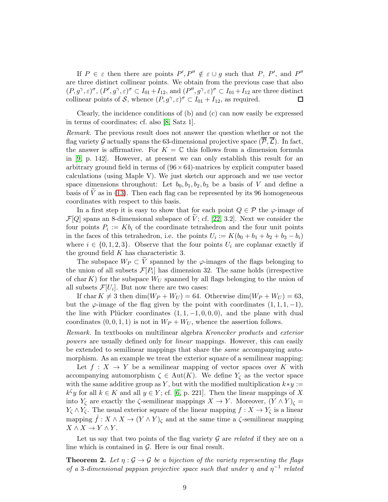If  $P \in \varepsilon$  then there are points  $P', P'' \notin \varepsilon \cup g$  such that P, P', and P'' are three distinct collinear points. We obtain from the previous case that also  $(P, g^{\gamma}, \varepsilon)^{\sigma}, (P', g^{\gamma}, \varepsilon)^{\sigma} \subset I_{01} + I_{12}$ , and  $(P'', g^{\gamma}, \varepsilon)^{\sigma} \subset I_{01} + I_{12}$  are three distinct collinear points of S, whence  $(P, g^{\gamma}, \varepsilon)^{\sigma} \subset I_{01} + I_{12}$ , as required.  $\Box$ 

Clearly, the incidence conditions of (b) and (c) can now easily be expressed in terms of coordinates; cf. also [\[8,](#page-10-1) Satz 1].

Remark. The previous result does not answer the question whether or not the flag variety G actually spans the 63-dimensional projective space  $(\overline{P}, \overline{L})$ . In fact, the answer is affirmative. For  $K = \mathbb{C}$  this follows from a dimension formula in [\[9,](#page-10-2) p. 142]. However, at present we can only establish this result for an arbitrary ground field in terms of  $(96 \times 64)$ -matrices by explicit computer based calculations (using Maple V). We just sketch our approach and we use vector space dimensions throughout: Let  $b_0, b_1, b_2, b_3$  be a basis of V and define a basis of  $\bar{V}$  as in [\(13\)](#page-7-3). Then each flag can be represented by its 96 homogeneous coordinates with respect to this basis.

In a first step it is easy to show that for each point  $Q \in \mathcal{P}$  the  $\varphi$ -image of  $\mathcal{F}[Q]$  spans an 8-dimensional subspace of  $\dot{V}$ ; cf. [\[22,](#page-11-0) 3.2]. Next we consider the four points  $P_i := Kb_i$  of the coordinate tetrahedron and the four unit points in the faces of this tetrahedron, i.e. the points  $U_i := K(b_0 + b_1 + b_2 + b_3 - b_i)$ where  $i \in \{0, 1, 2, 3\}$ . Observe that the four points  $U_i$  are coplanar exactly if the ground field  $K$  has characteristic 3.

The subspace  $W_P \subset V$  spanned by the  $\varphi$ -images of the flags belonging to the union of all subsets  $\mathcal{F}[P_i]$  has dimension 32. The same holds (irrespective of char K) for the subspace  $W_U$  spanned by all flags belonging to the union of all subsets  $\mathcal{F}[U_i]$ . But now there are two cases:

If char  $K \neq 3$  then  $\dim(W_P + W_U) = 64$ . Otherwise  $\dim(W_P + W_U) = 63$ , but the  $\varphi$ -image of the flag given by the point with coordinates  $(1, 1, 1, -1)$ , the line with Plücker coordinates  $(1, 1, -1, 0, 0, 0)$ , and the plane with dual coordinates  $(0, 0, 1, 1)$  is not in  $W_P + W_U$ , whence the assertion follows.

Remark. In textbooks on multilinear algebra Kronecker products and exterior powers are usually defined only for linear mappings. However, this can easily be extended to semilinear mappings that share the same accompanying automorphism. As an example we treat the exterior square of a semilinear mapping:

Let  $f: X \to Y$  be a semilinear mapping of vector spaces over K with accompanying automorphism  $\zeta \in \text{Aut}(K)$ . We define  $Y_{\zeta}$  as the vector space with the same additive group as Y, but with the modified multiplication  $k*y :=$  $k^{\zeta}y$  for all  $k \in K$  and all  $y \in Y$ ; cf. [\[6,](#page-9-5) p. 221]. Then the linear mappings of X into  $Y_{\zeta}$  are exactly the  $\zeta$ -semilinear mappings  $X \to Y$ . Moreover,  $(Y \wedge Y)_{\zeta} =$  $Y_{\zeta} \wedge Y_{\zeta}$ . The usual exterior square of the linear mapping  $f : X \to Y_{\zeta}$  is a linear mapping  $\hat{f}: X \wedge X \to (Y \wedge Y)_{\zeta}$  and at the same time a  $\zeta$ -semilinear mapping  $X \wedge X \to Y \wedge Y$ .

Let us say that two points of the flag variety  $G$  are related if they are on a line which is contained in  $\mathcal{G}$ . Here is our final result.

**Theorem 2.** Let  $\eta : \mathcal{G} \to \mathcal{G}$  be a bijection of the variety representing the flags of a 3-dimensional pappian projective space such that under  $\eta$  and  $\eta^{-1}$  related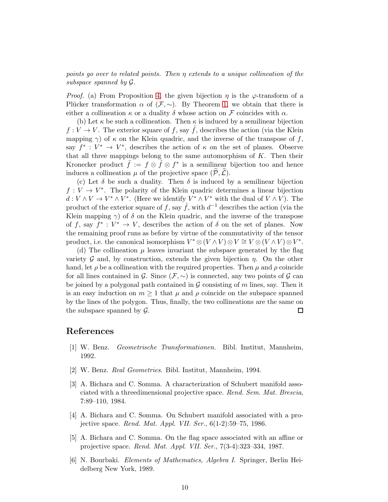points go over to related points. Then η extends to a unique collineation of the subspace spanned by G.

*Proof.* (a) From Proposition [4,](#page-5-3) the given bijection  $\eta$  is the  $\varphi$ -transform of a Plücker transformation  $\alpha$  of  $(\mathcal{F}, \sim)$ . By Theorem [1,](#page-4-3) we obtain that there is either a collineation  $\kappa$  or a duality  $\delta$  whose action on F coincides with  $\alpha$ .

(b) Let  $\kappa$  be such a collineation. Then  $\kappa$  is induced by a semilinear bijection  $f: V \to V$ . The exterior square of f, say  $\hat{f}$ , describes the action (via the Klein mapping  $\gamma$ ) of  $\kappa$  on the Klein quadric, and the inverse of the transpose of f, say  $f^* : V^* \to V^*$ , describes the action of  $\kappa$  on the set of planes. Observe that all three mappings belong to the same automorphism of  $K$ . Then their Kronecker product  $\tilde{f} := f \otimes \tilde{f} \otimes f^*$  is a semilinear bijection too and hence induces a collineation  $\mu$  of the projective space  $(\mathcal{P}, \mathcal{L})$ .

(c) Let  $\delta$  be such a duality. Then  $\delta$  is induced by a semilinear bijection  $f: V \to V^*$ . The polarity of the Klein quadric determines a linear bijection  $d: V \wedge V \to V^* \wedge V^*$ . (Here we identify  $V^* \wedge V^*$  with the dual of  $V \wedge V$ ). The product of the exterior square of f, say  $\hat{f}$ , with  $d^{-1}$  describes the action (via the Klein mapping  $\gamma$ ) of  $\delta$  on the Klein quadric, and the inverse of the transpose of f, say  $f^*: V^* \to V$ , describes the action of  $\delta$  on the set of planes. Now the remaining proof runs as before by virtue of the commutativity of the tensor product, i.e. the canonical isomorphism  $V^* \otimes (V \wedge V) \otimes V \cong V \otimes (V \wedge V) \otimes V^*$ .

(d) The collineation  $\mu$  leaves invariant the subspace generated by the flag variety G and, by construction, extends the given bijection  $\eta$ . On the other hand, let  $\rho$  be a collineation with the required properties. Then  $\mu$  and  $\rho$  coincide for all lines contained in G. Since  $(\mathcal{F}, \sim)$  is connected, any two points of G can be joined by a polygonal path contained in  $G$  consisting of m lines, say. Then it is an easy induction on  $m \geq 1$  that  $\mu$  and  $\rho$  coincide on the subspace spanned by the lines of the polygon. Thus, finally, the two collineations are the same on the subspace spanned by  $\mathcal{G}$ .  $\Box$ 

#### <span id="page-9-0"></span>References

- <span id="page-9-1"></span>[1] W. Benz. Geometrische Transformationen. Bibl. Institut, Mannheim, 1992.
- <span id="page-9-2"></span>[2] W. Benz. Real Geometries. Bibl. Institut, Mannheim, 1994.
- [3] A. Bichara and C. Somma. A characterization of Schubert manifold associated with a threedimensional projective space. Rend. Sem. Mat. Brescia, 7:89–110, 1984.
- <span id="page-9-3"></span>[4] A. Bichara and C. Somma. On Schubert manifold associated with a projective space. Rend. Mat. Appl. VII. Ser.,  $6(1-2):59-75$ , 1986.
- <span id="page-9-4"></span>[5] A. Bichara and C. Somma. On the flag space associated with an affine or projective space. Rend. Mat. Appl. VII. Ser., 7(3-4):323–334, 1987.
- <span id="page-9-5"></span>[6] N. Bourbaki. Elements of Mathematics, Algebra I. Springer, Berlin Heidelberg New York, 1989.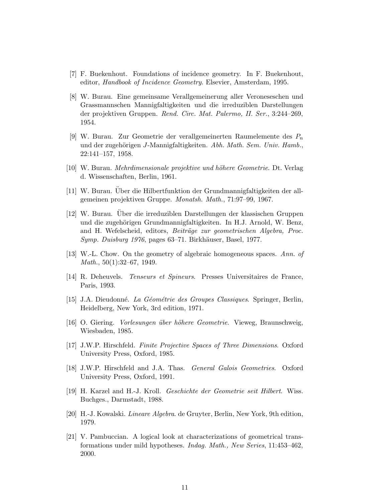- <span id="page-10-5"></span><span id="page-10-1"></span>[7] F. Buekenhout. Foundations of incidence geometry. In F. Buekenhout, editor, Handbook of Incidence Geometry. Elsevier, Amsterdam, 1995.
- [8] W. Burau. Eine gemeinsame Verallgemeinerung aller Veroneseschen und Grassmannschen Mannigfaltigkeiten und die irreduziblen Darstellungen der projektiven Gruppen. Rend. Circ. Mat. Palermo, II. Ser., 3:244–269, 1954.
- <span id="page-10-2"></span>[9] W. Burau. Zur Geometrie der verallgemeinerten Raumelemente des  $P_n$ und der zugehörigen J-Mannigfaltigkeiten. Abh. Math. Sem. Univ. Hamb., 22:141–157, 1958.
- <span id="page-10-9"></span><span id="page-10-3"></span>[10] W. Burau. *Mehrdimensionale projektive und höhere Geometrie*. Dt. Verlag d. Wissenschaften, Berlin, 1961.
- <span id="page-10-4"></span>[11] W. Burau. Uber die Hilbertfunktion der Grundmannigfaltigkeiten der allgemeinen projektiven Gruppe. Monatsh. Math., 71:97–99, 1967.
- [12] W. Burau. Uber die irreduziblen Darstellungen der klassischen Gruppen und die zugehörigen Grundmannigfaltigkeiten. In H.J. Arnold, W. Benz, and H. Wefelscheid, editors, Beiträge zur geometrischen Algebra, Proc. Symp. Duisburg 1976, pages 63–71. Birkhäuser, Basel, 1977.
- <span id="page-10-13"></span><span id="page-10-7"></span>[13] W.-L. Chow. On the geometry of algebraic homogeneous spaces. Ann. of *Math.*,  $50(1):32-67$ , 1949.
- <span id="page-10-8"></span>[14] R. Deheuvels. Tenseurs et Spineurs. Presses Universitaires de France, Paris, 1993.
- <span id="page-10-10"></span>[15] J.A. Dieudonné. La Géométrie des Groupes Classiques. Springer, Berlin, Heidelberg, New York, 3rd edition, 1971.
- <span id="page-10-11"></span>[16] O. Giering. Vorlesungen ¨uber h¨ohere Geometrie. Vieweg, Braunschweig, Wiesbaden, 1985.
- [17] J.W.P. Hirschfeld. Finite Projective Spaces of Three Dimensions. Oxford University Press, Oxford, 1985.
- <span id="page-10-12"></span><span id="page-10-6"></span>[18] J.W.P. Hirschfeld and J.A. Thas. General Galois Geometries. Oxford University Press, Oxford, 1991.
- <span id="page-10-14"></span>[19] H. Karzel and H.-J. Kroll. Geschichte der Geometrie seit Hilbert. Wiss. Buchges., Darmstadt, 1988.
- <span id="page-10-0"></span>[20] H.-J. Kowalski. Lineare Algebra. de Gruyter, Berlin, New York, 9th edition, 1979.
- [21] V. Pambuccian. A logical look at characterizations of geometrical transformations under mild hypotheses. Indag. Math., New Series, 11:453–462, 2000.